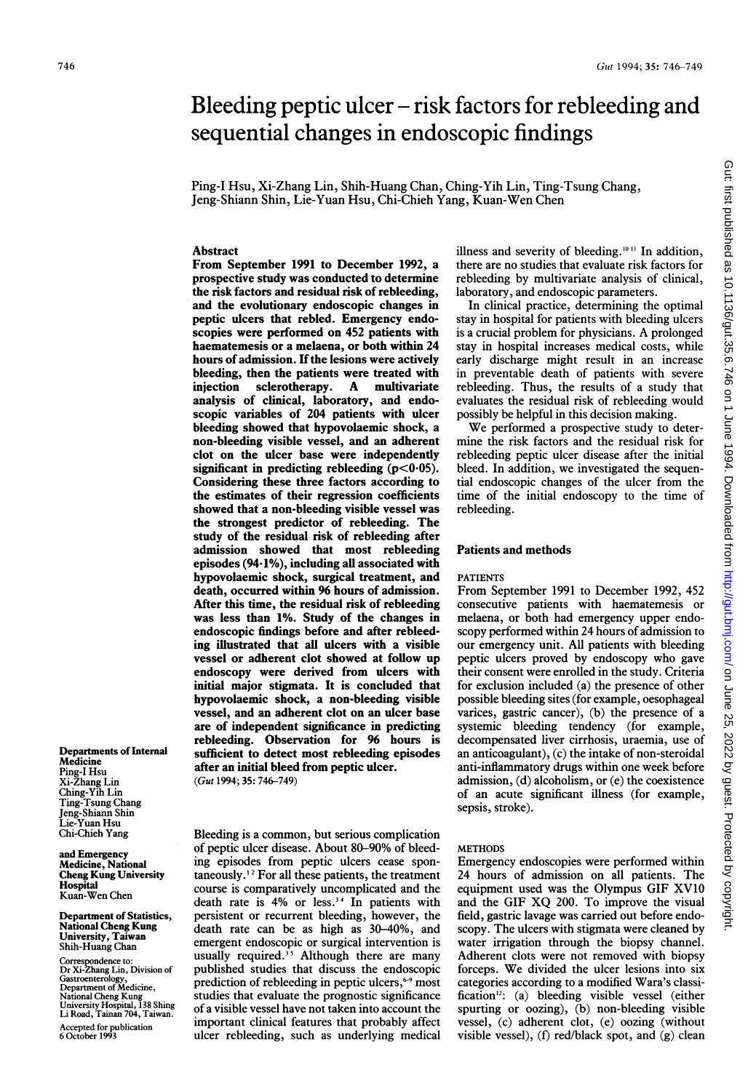# Bleeding peptic ulcer – risk factors for rebleeding and sequential changes in endoscopic findings

Ping-I Hsu, Xi-Zhang Lin, Shih-Huang Chan, Ching-Yih Lin, Ting-Tsung Chang, Jeng-Shiann Shin, Lie-Yuan Hsu, Chi-Chieh Yang, Kuan-Wen Chen

## Abstract

From September 1991 to December 1992, a prospective study was conducted to determine the risk factors and residual risk of rebleeding, and the evolutionary endoscopic changes in peptic ulcers that rebled. Emergency endoscopies were performed on 452 patients with haematemesis or a melaena, or both within 24 hours of admission. If the lesions were actively bleeding, then the patients were treated with<br>injection sclerotherapy. A multivariate sclerotherapy. analysis of clinical, laboratory, and endoscopic variables of 204 patients with ulcer bleeding showed that hypovolaemic shock, a non-bleeding visible vessel, and an adherent clot on the ulcer base were independently significant in predicting rebleeding  $(p<0.05)$ . Considering these three factors according to the estimates of their regression coefficients showed that a non-bleeding visible vessel was the strongest predictor of rebleeding. The study of the residual risk of rebleeding after admission showed that most rebleeding episodes (94.1%), including all associated with hypovolaemic shock, surgical treatment, and death, occurred within 96 hours of admission. After this time, the residual risk of rebleeding was less than 1%. Study of the changes in endoscopic findings before and after rebleeding illustrated that all ulcers with a visible vessel or adherent clot showed at follow up endoscopy were derived from ulcers with initial major stigmata. It is concluded that hypovolaemic shock, a non-bleeding visible vessel, and an adherent clot on an ulcer base are of independent significance in predicting rebleeding. Observation for 96 hours is sufficient to detect most rebleeding episodes after an initial bleed from peptic ulcer.

(Gut 1994; 35: 746-749)

Bleeding is a common, but serious complication of peptic ulcer disease. About 80-90% of bleeding episodes from peptic ulcers cease spontaneously.<sup>12</sup> For all these patients, the treatment course is comparatively uncomplicated and the death rate is 4% or less.<sup>34</sup> In patients with persistent or recurrent bleeding, however, the death rate can be as high as 30-40%, and emergent endoscopic or surgical intervention is usually required. $35$  Although there are many published studies that discuss the endoscopic prediction of rebleeding in peptic ulcers, $\epsilon$ <sup>9</sup> most studies that evaluate the prognostic significance of a visible vessel have not taken into account the important clinical features that probably affect ulcer rebleeding, such as underlying medical illness and severity of bleeding.<sup>10  $\scriptstyle\rm II$ </sup> In addition, there are no studies that evaluate risk factors for rebleeding by multivariate analysis of clinical, laboratory, and endoscopic parameters.

In clinical practice, determining the optimal stay in hospital for patients with bleeding ulcers is <sup>a</sup> crucial problem for physicians. A prolonged stay in hospital increases medical costs, while early discharge might result in an increase in preventable death of patients with severe rebleeding. Thus, the results of a study that evaluates the residual risk of rebleeding would possibly be helpful in this decision making.

We performed <sup>a</sup> prospective study to determine the risk factors and the residual risk for rebleeding peptic ulcer disease after the initial bleed. In addition, we investigated the sequential endoscopic changes of the ulcer from the time of the initial endoscopy to the time of rebleeding.

## Patients and methods

#### PATIENTS

From September 1991 to December 1992, 452 consecutive patients with haematemesis or melaena, or both had emergency upper endoscopy performed within 24 hours of admission to our emergency unit. All patients with bleeding peptic ulcers proved by endoscopy who gave their consent were enrolled in the study. Criteria for exclusion included (a) the presence of other possible bleeding sites (for example, oesophageal varices, gastric cancer), (b) the presence of a systemic bleeding tendency (for example, decompensated liver cirrhosis, uraemia, use of an anticoagulant), (c) the intake of non-steroidal anti-inflammatory drugs within one week before admission, (d) alcoholism, or (e) the coexistence of an acute significant illness (for example, sepsis, stroke).

#### **METHODS**

Emergency endoscopies were performed within 24 hours of admission on all patients. The equipment used was the Olympus GIF XV10 and the GIF XQ 200. To improve the visual field, gastric lavage was carried out before endoscopy. The ulcers with stigmata were cleaned by water irrigation through the biopsy channel. Adherent clots were not removed with biopsy forceps. We divided the ulcer lesions into six categories according to a modified Wara's classification'2: (a) bleeding visible vessel (either spurting or oozing), (b) non-bleeding visible vessel, (c) adherent clot, (e) oozing (without visible vessel), (f) red/black spot, and (g) clean Gut: first published as 10.1136/gut.35.6.746 on 1 June 1994. Downloaded from http://gut.bmj.com/ on June 25, 2022 by guest. Protected by copyright on June 25, 2022 by guest. Protected by copyright. <http://gut.bmj.com/> Gut: first published as 10.1136/gut.35.6.746 on 1 June 1994. Downloaded from

Departments of Internal Medicine Ping-I Hsu Xi-Zhang Lin Ching-Yih Lin Ting-Tsung Chang Jeng-Shiann Shin Lie-Yuan Hsu Chi-Chieh Yang

and Emergency Medicine, National Cheng Kung University Hospital Kuan-Wen Chen

Department of Statistics, National Cheng Kung University, Taiwan Shih-Huang Chan

Correspondence to: Dr Xi-Zhang Lin, Division of Gastroenterology, Department of Medicine, National Cheng Kung University Hospital, 138 Shing Li Road, Tainan 704, Taiwan. Accepted for publication 6 October 1993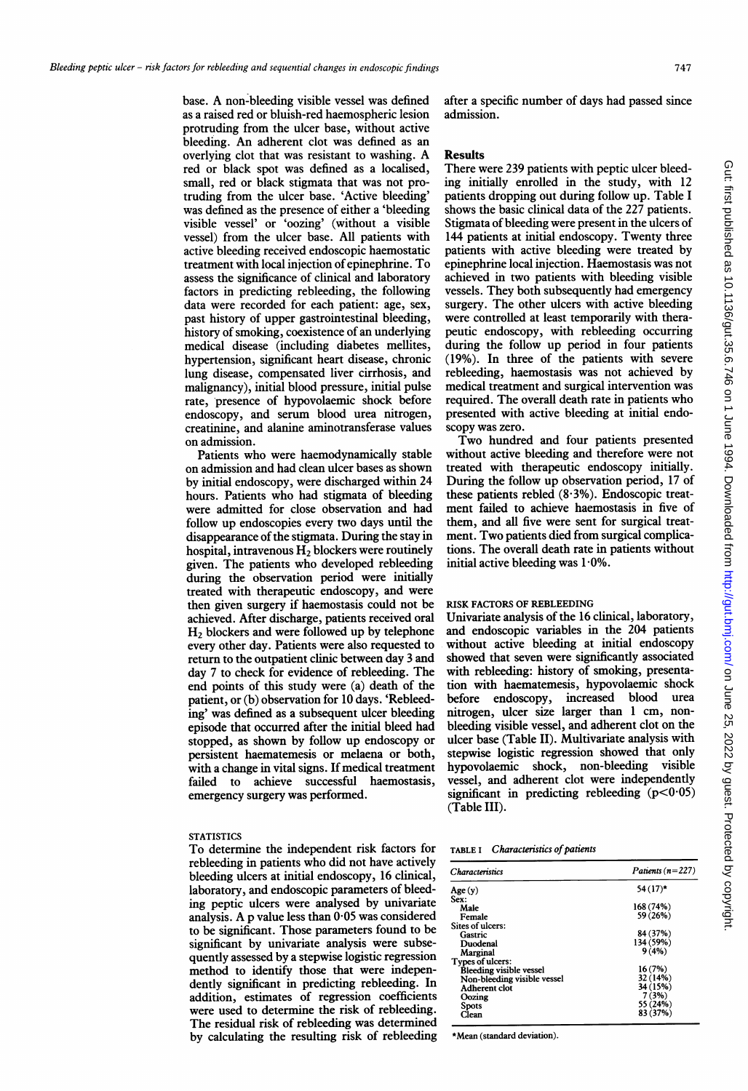base. A non-bleeding visible vessel was defined as a raised red or bluish-red haemospheric lesion protruding from the ulcer base, without active bleeding. An adherent clot was defined as an overlying clot that was resistant to washing. A red or black spot was defined as a localised, small, red or black stigmata that was not protruding from the ulcer base. 'Active bleeding' was defined as the presence of either a 'bleeding visible vessel' or 'oozing' (without a visible vessel) from the ulcer base. All patients with active bleeding received endoscopic haemostatic treatment with local injection of epinephrine. To assess the significance of clinical and laboratory factors in predicting rebleeding, the following data were recorded for each patient: age, sex, past history of upper gastrointestinal bleeding, history of smoking, coexistence of an underlying medical disease (including diabetes mellites, hypertension, significant heart disease, chronic lung disease, compensated liver cirrhosis, and malignancy), initial blood pressure, initial pulse rate, presence of hypovolaemic shock before endoscopy, and serum blood urea nitrogen, creatinine, and alanine aminotransferase values on admission.

Patients who were haemodynamically stable on admission and had clean ulcer bases as shown by initial endoscopy, were discharged within 24 hours. Patients who had stigmata of bleeding were admitted for close observation and had follow up endoscopies every two days until the disappearance of the stigmata. During the stay in hospital, intravenous  $H_2$  blockers were routinely given. The patients who developed rebleeding during the observation period were initially treated with therapeutic endoscopy, and were then given surgery if haemostasis could not be achieved. After discharge, patients received oral H2 blockers and were followed up by telephone every other day. Patients were also requested to return to the outpatient clinic between day 3 and day 7 to check for evidence of rebleeding. The end points of this study were (a) death of the patient, or (b) observation for 10 days. 'Rebleeding' was defined as a subsequent ulcer bleeding episode that occurred after the initial bleed had stopped, as shown by follow up endoscopy or persistent haematemesis or melaena or both, with a change in vital signs. If medical treatment failed to achieve successful haemostasis, emergency surgery was performed.

### **STATISTICS**

To determine the independent risk factors for rebleeding in patients who did not have actively bleeding ulcers at initial endoscopy, 16 clinical, laboratory, and endoscopic parameters of bleeding peptic ulcers were analysed by univariate analysis. A p value less than  $0.05$  was considered to be significant. Those parameters found to be significant by univariate analysis were subsequently assessed by a stepwise logistic regression method to identify those that were independently significant in predicting rebleeding. In addition, estimates of regression coefficients were used to determine the risk of rebleeding. The residual risk of rebleeding was determined by calculating the resulting risk of rebleeding

after a specific number of days had passed since admission.

### Results

There were 239 patients with peptic ulcer bleeding initially enrolled in the study, with 12 patients dropping out during follow up. Table <sup>I</sup> shows the basic clinical data of the 227 patients. Stigmata of bleeding were present in the ulcers of 144 patients at initial endoscopy. Twenty three patients with active bleeding were treated by epinephrine local injection. Haemostasis was not achieved in two patients with bleeding visible vessels. They both subsequently had emergency surgery. The other ulcers with active bleeding were controlled at least temporarily with therapeutic endoscopy, with rebleeding occurring during the follow up period in four patients (19%). In three of the patients with severe rebleeding, haemostasis was not achieved by medical treatment and surgical intervention was required. The overall death rate in patients who presented with active bleeding at initial endoscopy was zero.

Two hundred and four patients presented without active bleeding and therefore were not treated with therapeutic endoscopy initially. During the follow up observation period, 17 of these patients rebled  $(8.3\%)$ . Endoscopic treatment failed to achieve haemostasis in five of them, and all five were sent for surgical treatment. Two patients died from surgical complications. The overall death rate in patients without initial active bleeding was  $1.0\%$ .

## RISK FACTORS OF REBLEEDING

Univariate analysis of the 16 clinical, laboratory, and endoscopic variables in the 204 patients without active bleeding at initial endoscopy showed that seven were significantly associated with rebleeding: history of smoking, presentation with haematemesis, hypovolaemic shock before endoscopy, increased blood urea nitrogen, ulcer size larger than <sup>1</sup> cm, nonbleeding visible vessel, and adherent clot on the ulcer base (Table II). Multivariate analysis with stepwise logistic regression showed that only hypovolaemic shock, non-bleeding visible vessel, and adherent clot were independently significant in predicting rebleeding  $(p<0.05)$ (Table III).

#### TABLE I Characteristics of patients

| <b>Characteristics</b>         | Patients $(n=227)$<br>$54(17)$ * |  |
|--------------------------------|----------------------------------|--|
| Age(y)                         |                                  |  |
| Sex:                           |                                  |  |
| Male                           | 168 (74%)                        |  |
| Female                         | 59 (26%)                         |  |
| Sites of ulcers:               |                                  |  |
| Gastric                        | 84 (37%)                         |  |
| Duodenal                       | 134 (59%)                        |  |
| Marginal                       | 9(4%)                            |  |
| Types of ulcers:               |                                  |  |
| <b>Bleeding visible vessel</b> | 16 (7%)                          |  |
| Non-bleeding visible vessel    | 32 (14%)                         |  |
| Adherent clot                  | 34 (15%)                         |  |
|                                | 7(3%)                            |  |
| Oozing                         | 55 (24%)                         |  |
| Spots                          | 83 (37%)                         |  |
| Clean                          |                                  |  |

\*Mean (standard deviation).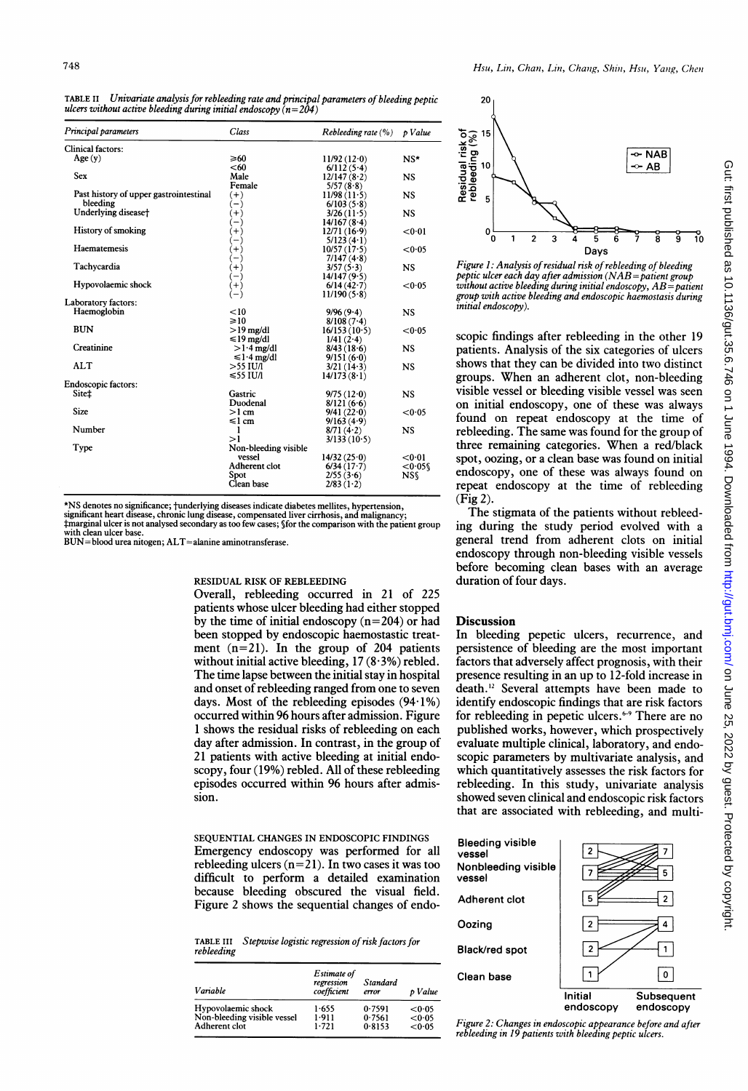TABLE II Univariate analysis for rebleeding rate and principal parameters of bleeding peptic ulcers without active bleeding during initial endoscopy  $(n=204)$ 

| Principal parameters                   | Class                | Rebleeding rate $(\% )$ | p Value   |
|----------------------------------------|----------------------|-------------------------|-----------|
| Clinical factors:                      |                      |                         |           |
| Age(y)                                 | ≥60                  | 11/92(12.0)             | $NS*$     |
|                                        | < 60                 | 6/112(5.4)              |           |
| Sex                                    | Male                 | 12/147(8·2)             | <b>NS</b> |
|                                        | Female               | 5/57(8.8)               |           |
| Past history of upper gastrointestinal | $(+)$                | 11/98(11.5)             | <b>NS</b> |
| bleeding                               | $-)$                 | 6/103(5.8)              |           |
| Underlying disease†                    | $(+)$                | 3/26(11.5)              | NS        |
|                                        | — 1                  | 14/167(8.4)             |           |
| <b>History of smoking</b>              | $^{+}$               | 12/71(16.9)             | < 0.01    |
|                                        |                      | $5/123(4 \cdot 1)$      |           |
| Haematemesis                           | $^{+1}$              | 10/57(17.5)             | < 0.05    |
|                                        | $-$                  | 7/147(4.8)              |           |
| Tachycardia                            | $(+)$                | 3/57(5.3)               | <b>NS</b> |
|                                        |                      | 14/147(9.5)             |           |
| Hypovolaemic shock                     | $^{(+)}$             | $6/14(42-7)$            | < 0.05    |
|                                        |                      | 11/190(5.8)             |           |
| Laboratory factors:                    |                      |                         |           |
| Haemoglobin                            | < 10                 | 9/96(9.4)               | <b>NS</b> |
|                                        | $\geq 10$            | $8/108(7-4)$            |           |
| <b>BUN</b>                             | $>19$ mg/dl          | 16/153(10.5)            | <0.05     |
|                                        | $\leq 19$ mg/dl      | $1/41(2-4)$             |           |
| Creatinine                             | $>1.4$ mg/dl         | 8/43(18.6)              | <b>NS</b> |
|                                        | $\leq 1.4$ mg/dl     | 9/151(6.0)              |           |
| ALT                                    | $>$ 55 IU/I          | $3/21(14-3)$            | <b>NS</b> |
|                                        | $≤55$ IU/I           | $14/173(8-1)$           |           |
| <b>Endoscopic factors:</b>             |                      |                         |           |
| Site±                                  | Gastric              | 9/75(12.0)              | <b>NS</b> |
|                                        | Duodenal             | 8/121(6.6)              |           |
| <b>Size</b>                            | $>1$ cm              | 9/41(22.0)              | < 0.05    |
|                                        | $\leq l$ cm          | 9/163(4.9)              |           |
| Number                                 | 1                    | $8/71(4-2)$             | NS        |
|                                        | >1                   | 3/133(10.5)             |           |
| Type                                   | Non-bleeding visible |                         |           |
|                                        | vessel               | 14/32(25.0)             | < 0.01    |
|                                        | Adherent clot        | $6/34(17-7)$            | < 0.058   |
|                                        | Spot                 | 2/55(3.6)               | <b>NS</b> |
|                                        | Clean base           | 2/83(1·2)               |           |

\*NS denotes no significance; tunderlying diseases indicate diabetes mellites, hypertension,

significant heart disease, chronic lung disease, compensated liver cirrhosis, and malignancy;<br>‡marginal ulcer is not analysed secondary as too few cases; §for the comparison with the patient group<br>with clean ulcer base.

BUN-blood urea nitogen; ALT=alanine aminotransferase.

## RESIDUAL RISK OF REBLEEDING

Overall, rebleeding occurred in 21 of 225 patients whose ulcer bleeding had either stopped by the time of initial endoscopy  $(n=204)$  or had been stopped by endoscopic haemostastic treatment (n=21). In the group of 204 patients without initial active bleeding,  $17 (8.3%)$  rebled. The time lapse between the initial stay in hospital and onset of rebleeding ranged from one to seven days. Most of the rebleeding episodes  $(94.1\%)$ occurred within 96 hours after admission. Figure <sup>1</sup> shows the residual risks of rebleeding on each day after admission. In contrast, in the group of 21 patients with active bleeding at initial endoscopy, four (19%) rebled. All of these rebleeding episodes occurred within 96 hours after admission.

SEQUENTIAL CHANGES IN ENDOSCOPIC FINDINGS Emergency endoscopy was performed for all rebleeding ulcers  $(n=21)$ . In two cases it was too difficult to perform a detailed examination because bleeding obscured the visual field. Figure 2 shows the sequential changes of endo-

TABLE III Stepwise logistic regression of risk factors for rebleeding

| Variable                    | Estimate of<br>regression<br>coefficient | Standard<br>error | p Value |
|-----------------------------|------------------------------------------|-------------------|---------|
| Hypovolaemic shock          | 1-655                                    | 0.7591            | <0.05   |
| Non-bleeding visible vessel | 1.911                                    | 0.7561            | < 0.05  |
| Adherent clot               | 1.721                                    | 0.8153            | < 0.05  |



Figure 1: Analysis of residual risk of rebleeding of bleeding peptic ulcer each day after admission  $(NAB =$ patient group without active bleeding during initial endoscopy,  $AB =$  patient group with active bleeding and endoscopic haemostasis during initial endoscopy).

scopic findings after rebleeding in the other 19 patients. Analysis of the six categories of ulcers shows that they can be divided into two distinct groups. When an adherent clot, non-bleeding visible vessel or bleeding visible vessel was seen on initial endoscopy, one of these was always found on repeat endoscopy at the time of rebleeding. The same was found for the group of three remaining categories. When <sup>a</sup> red/black spot, oozing, or a clean base was found on initial endoscopy, one of these was always found on repeat endoscopy at the time of rebleeding (Fig 2).

The stigmata of the patients without rebleeding during the study period evolved with a general trend from adherent clots on initial endoscopy through non-bleeding visible vessels before becoming clean bases with an average duration of four days.

## **Discussion**

In bleeding pepetic ulcers, recurrence, and persistence of bleeding are the most important factors that adversely affect prognosis, with their presence resulting in an up to 12-fold increase in death.'2 Several attempts have been made to identify endoscopic findings that are risk factors for rebleeding in pepetic ulcers.<sup>6-9</sup> There are no published works, however, which prospectively evaluate multiple clinical, laboratory, and endoscopic parameters by multivariate analysis, and which quantitatively assesses the risk factors for rebleeding. In this study, univariate analysis showed seven clinical and endoscopic risk factors that are associated with rebleeding, and multi-



Figure 2: Changes in endoscopic appearance before and after rebleeding in 19 patients with bleeding peptic ulcers.